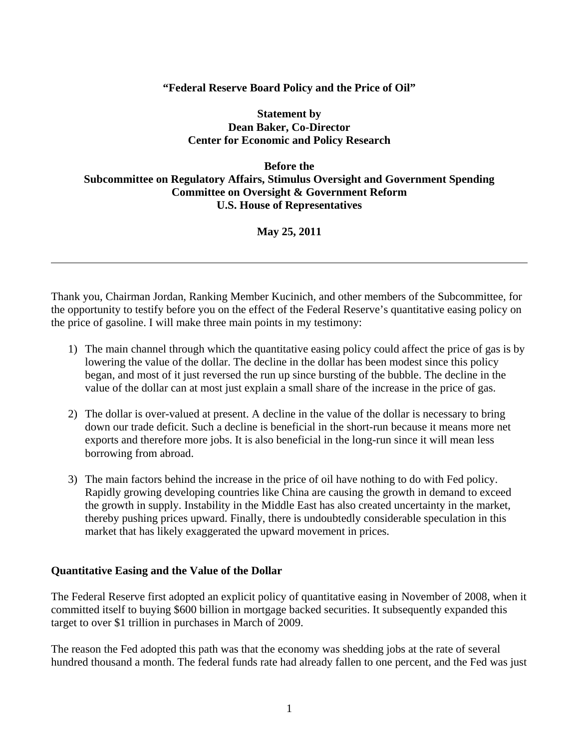# **"Federal Reserve Board Policy and the Price of Oil"**

## **Statement by Dean Baker, Co-Director Center for Economic and Policy Research**

# **Before the Subcommittee on Regulatory Affairs, Stimulus Oversight and Government Spending Committee on Oversight & Government Reform U.S. House of Representatives**

# **May 25, 2011**

Thank you, Chairman Jordan, Ranking Member Kucinich, and other members of the Subcommittee, for the opportunity to testify before you on the effect of the Federal Reserve's quantitative easing policy on the price of gasoline. I will make three main points in my testimony:

- 1) The main channel through which the quantitative easing policy could affect the price of gas is by lowering the value of the dollar. The decline in the dollar has been modest since this policy began, and most of it just reversed the run up since bursting of the bubble. The decline in the value of the dollar can at most just explain a small share of the increase in the price of gas.
- 2) The dollar is over-valued at present. A decline in the value of the dollar is necessary to bring down our trade deficit. Such a decline is beneficial in the short-run because it means more net exports and therefore more jobs. It is also beneficial in the long-run since it will mean less borrowing from abroad.
- 3) The main factors behind the increase in the price of oil have nothing to do with Fed policy. Rapidly growing developing countries like China are causing the growth in demand to exceed the growth in supply. Instability in the Middle East has also created uncertainty in the market, thereby pushing prices upward. Finally, there is undoubtedly considerable speculation in this market that has likely exaggerated the upward movement in prices.

### **Quantitative Easing and the Value of the Dollar**

l

The Federal Reserve first adopted an explicit policy of quantitative easing in November of 2008, when it committed itself to buying \$600 billion in mortgage backed securities. It subsequently expanded this target to over \$1 trillion in purchases in March of 2009.

The reason the Fed adopted this path was that the economy was shedding jobs at the rate of several hundred thousand a month. The federal funds rate had already fallen to one percent, and the Fed was just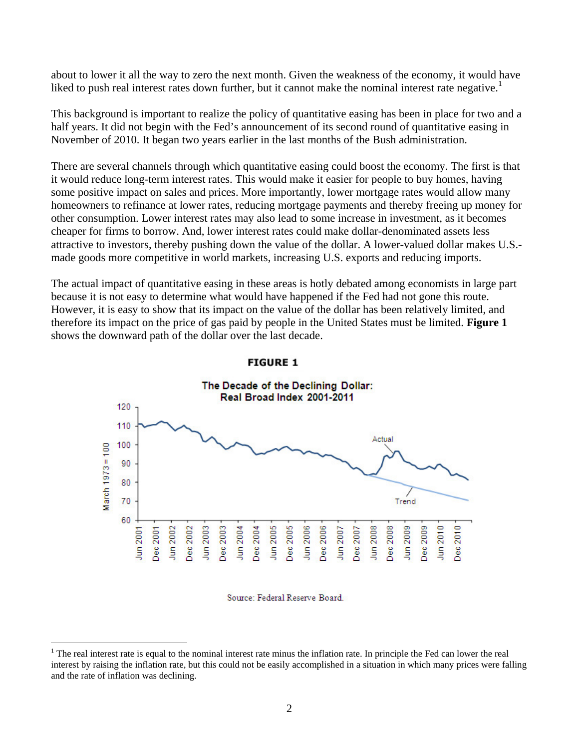about to lower it all the way to zero the next month. Given the weakness of the economy, it would have liked to push real interest rates down further, but it cannot make the nominal interest rate negative.<sup>1</sup>

This background is important to realize the policy of quantitative easing has been in place for two and a half years. It did not begin with the Fed's announcement of its second round of quantitative easing in November of 2010. It began two years earlier in the last months of the Bush administration.

There are several channels through which quantitative easing could boost the economy. The first is that it would reduce long-term interest rates. This would make it easier for people to buy homes, having some positive impact on sales and prices. More importantly, lower mortgage rates would allow many homeowners to refinance at lower rates, reducing mortgage payments and thereby freeing up money for other consumption. Lower interest rates may also lead to some increase in investment, as it becomes cheaper for firms to borrow. And, lower interest rates could make dollar-denominated assets less attractive to investors, thereby pushing down the value of the dollar. A lower-valued dollar makes U.S. made goods more competitive in world markets, increasing U.S. exports and reducing imports.

The actual impact of quantitative easing in these areas is hotly debated among economists in large part because it is not easy to determine what would have happened if the Fed had not gone this route. However, it is easy to show that its impact on the value of the dollar has been relatively limited, and therefore its impact on the price of gas paid by people in the United States must be limited. **Figure 1** shows the downward path of the dollar over the last decade.



### **FIGURE 1**

#### Source: Federal Reserve Board.

1

 $1$  The real interest rate is equal to the nominal interest rate minus the inflation rate. In principle the Fed can lower the real interest by raising the inflation rate, but this could not be easily accomplished in a situation in which many prices were falling and the rate of inflation was declining.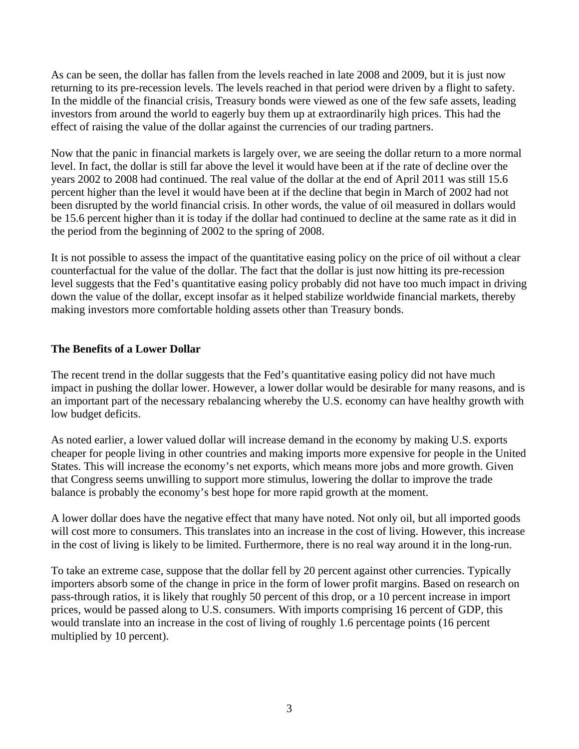As can be seen, the dollar has fallen from the levels reached in late 2008 and 2009, but it is just now returning to its pre-recession levels. The levels reached in that period were driven by a flight to safety. In the middle of the financial crisis, Treasury bonds were viewed as one of the few safe assets, leading investors from around the world to eagerly buy them up at extraordinarily high prices. This had the effect of raising the value of the dollar against the currencies of our trading partners.

Now that the panic in financial markets is largely over, we are seeing the dollar return to a more normal level. In fact, the dollar is still far above the level it would have been at if the rate of decline over the years 2002 to 2008 had continued. The real value of the dollar at the end of April 2011 was still 15.6 percent higher than the level it would have been at if the decline that begin in March of 2002 had not been disrupted by the world financial crisis. In other words, the value of oil measured in dollars would be 15.6 percent higher than it is today if the dollar had continued to decline at the same rate as it did in the period from the beginning of 2002 to the spring of 2008.

It is not possible to assess the impact of the quantitative easing policy on the price of oil without a clear counterfactual for the value of the dollar. The fact that the dollar is just now hitting its pre-recession level suggests that the Fed's quantitative easing policy probably did not have too much impact in driving down the value of the dollar, except insofar as it helped stabilize worldwide financial markets, thereby making investors more comfortable holding assets other than Treasury bonds.

## **The Benefits of a Lower Dollar**

The recent trend in the dollar suggests that the Fed's quantitative easing policy did not have much impact in pushing the dollar lower. However, a lower dollar would be desirable for many reasons, and is an important part of the necessary rebalancing whereby the U.S. economy can have healthy growth with low budget deficits.

As noted earlier, a lower valued dollar will increase demand in the economy by making U.S. exports cheaper for people living in other countries and making imports more expensive for people in the United States. This will increase the economy's net exports, which means more jobs and more growth. Given that Congress seems unwilling to support more stimulus, lowering the dollar to improve the trade balance is probably the economy's best hope for more rapid growth at the moment.

A lower dollar does have the negative effect that many have noted. Not only oil, but all imported goods will cost more to consumers. This translates into an increase in the cost of living. However, this increase in the cost of living is likely to be limited. Furthermore, there is no real way around it in the long-run.

To take an extreme case, suppose that the dollar fell by 20 percent against other currencies. Typically importers absorb some of the change in price in the form of lower profit margins. Based on research on pass-through ratios, it is likely that roughly 50 percent of this drop, or a 10 percent increase in import prices, would be passed along to U.S. consumers. With imports comprising 16 percent of GDP, this would translate into an increase in the cost of living of roughly 1.6 percentage points (16 percent multiplied by 10 percent).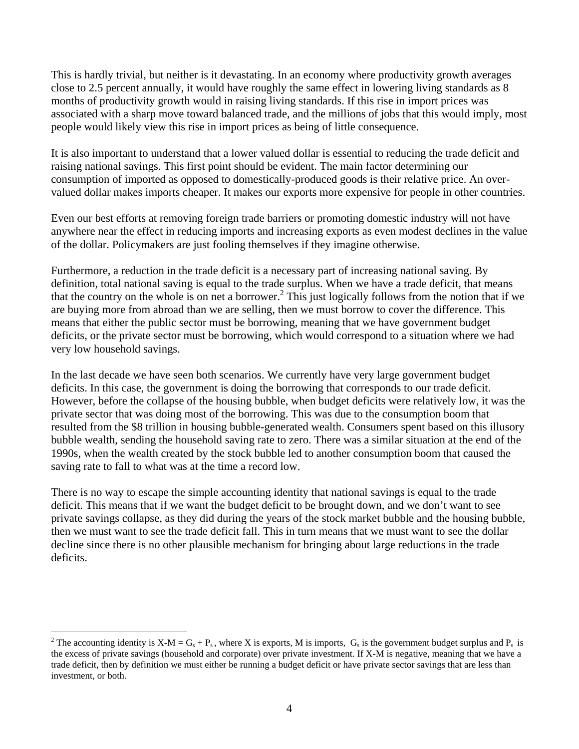This is hardly trivial, but neither is it devastating. In an economy where productivity growth averages close to 2.5 percent annually, it would have roughly the same effect in lowering living standards as 8 months of productivity growth would in raising living standards. If this rise in import prices was associated with a sharp move toward balanced trade, and the millions of jobs that this would imply, most people would likely view this rise in import prices as being of little consequence.

It is also important to understand that a lower valued dollar is essential to reducing the trade deficit and raising national savings. This first point should be evident. The main factor determining our consumption of imported as opposed to domestically-produced goods is their relative price. An overvalued dollar makes imports cheaper. It makes our exports more expensive for people in other countries.

Even our best efforts at removing foreign trade barriers or promoting domestic industry will not have anywhere near the effect in reducing imports and increasing exports as even modest declines in the value of the dollar. Policymakers are just fooling themselves if they imagine otherwise.

Furthermore, a reduction in the trade deficit is a necessary part of increasing national saving. By definition, total national saving is equal to the trade surplus. When we have a trade deficit, that means that the country on the whole is on net a borrower.<sup>2</sup> This just logically follows from the notion that if we are buying more from abroad than we are selling, then we must borrow to cover the difference. This means that either the public sector must be borrowing, meaning that we have government budget deficits, or the private sector must be borrowing, which would correspond to a situation where we had very low household savings.

In the last decade we have seen both scenarios. We currently have very large government budget deficits. In this case, the government is doing the borrowing that corresponds to our trade deficit. However, before the collapse of the housing bubble, when budget deficits were relatively low, it was the private sector that was doing most of the borrowing. This was due to the consumption boom that resulted from the \$8 trillion in housing bubble-generated wealth. Consumers spent based on this illusory bubble wealth, sending the household saving rate to zero. There was a similar situation at the end of the 1990s, when the wealth created by the stock bubble led to another consumption boom that caused the saving rate to fall to what was at the time a record low.

There is no way to escape the simple accounting identity that national savings is equal to the trade deficit. This means that if we want the budget deficit to be brought down, and we don't want to see private savings collapse, as they did during the years of the stock market bubble and the housing bubble, then we must want to see the trade deficit fall. This in turn means that we must want to see the dollar decline since there is no other plausible mechanism for bringing about large reductions in the trade deficits.

 $\overline{a}$ 

<sup>&</sup>lt;sup>2</sup> The accounting identity is  $X-M = G_s + P_s$ , where X is exports, M is imports,  $G_s$  is the government budget surplus and  $P_s$  is the excess of private savings (household and corporate) over private investment. If X-M is negative, meaning that we have a trade deficit, then by definition we must either be running a budget deficit or have private sector savings that are less than investment, or both.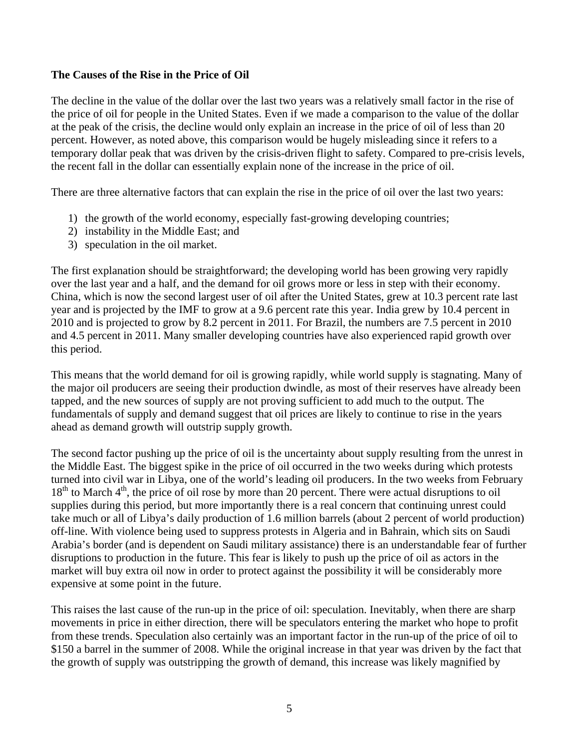## **The Causes of the Rise in the Price of Oil**

The decline in the value of the dollar over the last two years was a relatively small factor in the rise of the price of oil for people in the United States. Even if we made a comparison to the value of the dollar at the peak of the crisis, the decline would only explain an increase in the price of oil of less than 20 percent. However, as noted above, this comparison would be hugely misleading since it refers to a temporary dollar peak that was driven by the crisis-driven flight to safety. Compared to pre-crisis levels, the recent fall in the dollar can essentially explain none of the increase in the price of oil.

There are three alternative factors that can explain the rise in the price of oil over the last two years:

- 1) the growth of the world economy, especially fast-growing developing countries;
- 2) instability in the Middle East; and
- 3) speculation in the oil market.

The first explanation should be straightforward; the developing world has been growing very rapidly over the last year and a half, and the demand for oil grows more or less in step with their economy. China, which is now the second largest user of oil after the United States, grew at 10.3 percent rate last year and is projected by the IMF to grow at a 9.6 percent rate this year. India grew by 10.4 percent in 2010 and is projected to grow by 8.2 percent in 2011. For Brazil, the numbers are 7.5 percent in 2010 and 4.5 percent in 2011. Many smaller developing countries have also experienced rapid growth over this period.

This means that the world demand for oil is growing rapidly, while world supply is stagnating. Many of the major oil producers are seeing their production dwindle, as most of their reserves have already been tapped, and the new sources of supply are not proving sufficient to add much to the output. The fundamentals of supply and demand suggest that oil prices are likely to continue to rise in the years ahead as demand growth will outstrip supply growth.

The second factor pushing up the price of oil is the uncertainty about supply resulting from the unrest in the Middle East. The biggest spike in the price of oil occurred in the two weeks during which protests turned into civil war in Libya, one of the world's leading oil producers. In the two weeks from February  $18<sup>th</sup>$  to March  $4<sup>th</sup>$ , the price of oil rose by more than 20 percent. There were actual disruptions to oil supplies during this period, but more importantly there is a real concern that continuing unrest could take much or all of Libya's daily production of 1.6 million barrels (about 2 percent of world production) off-line. With violence being used to suppress protests in Algeria and in Bahrain, which sits on Saudi Arabia's border (and is dependent on Saudi military assistance) there is an understandable fear of further disruptions to production in the future. This fear is likely to push up the price of oil as actors in the market will buy extra oil now in order to protect against the possibility it will be considerably more expensive at some point in the future.

This raises the last cause of the run-up in the price of oil: speculation. Inevitably, when there are sharp movements in price in either direction, there will be speculators entering the market who hope to profit from these trends. Speculation also certainly was an important factor in the run-up of the price of oil to \$150 a barrel in the summer of 2008. While the original increase in that year was driven by the fact that the growth of supply was outstripping the growth of demand, this increase was likely magnified by